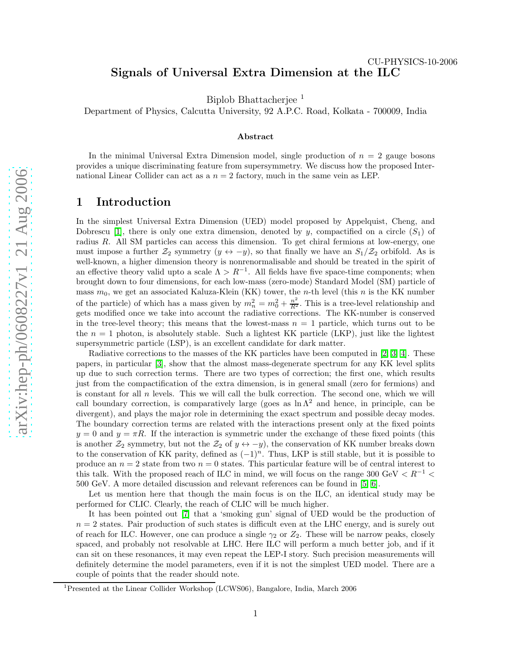# CU-PHYSICS-10-2006 Signals of Universal Extra Dimension at the ILC

Biplob Bhattacherjee 1

Department of Physics, Calcutta University, 92 A.P.C. Road, Kolkata - 700009, India

#### Abstract

In the minimal Universal Extra Dimension model, single production of  $n = 2$  gauge bosons provides a unique discriminating feature from supersymmetry. We discuss how the proposed International Linear Collider can act as a  $n = 2$  factory, much in the same vein as LEP.

### 1 Introduction

In the simplest Universal Extra Dimension (UED) model proposed by Appelquist, Cheng, and Dobrescu [\[1\]](#page-3-0), there is only one extra dimension, denoted by y, compactified on a circle  $(S_1)$  of radius R. All SM particles can access this dimension. To get chiral fermions at low-energy, one must impose a further  $\mathcal{Z}_2$  symmetry  $(y \leftrightarrow -y)$ , so that finally we have an  $S_1/\mathcal{Z}_2$  orbifold. As is well-known, a higher dimension theory is nonrenormalisable and should be treated in the spirit of an effective theory valid upto a scale  $\Lambda > R^{-1}$ . All fields have five space-time components; when brought down to four dimensions, for each low-mass (zero-mode) Standard Model (SM) particle of mass  $m_0$ , we get an associated Kaluza-Klein (KK) tower, the *n*-th level (this *n* is the KK number of the particle) of which has a mass given by  $m_n^2 = m_0^2 + \frac{n^2}{R^2}$  $\frac{n^2}{R^2}$ . This is a tree-level relationship and gets modified once we take into account the radiative corrections. The KK-number is conserved in the tree-level theory; this means that the lowest-mass  $n = 1$  particle, which turns out to be the  $n = 1$  photon, is absolutely stable. Such a lightest KK particle (LKP), just like the lightest supersymmetric particle (LSP), is an excellent candidate for dark matter.

Radiative corrections to the masses of the KK particles have been computed in [\[2,](#page-3-1) [3,](#page-3-2) [4\]](#page-3-3). These papers, in particular [\[3\]](#page-3-2), show that the almost mass-degenerate spectrum for any KK level splits up due to such correction terms. There are two types of correction; the first one, which results just from the compactification of the extra dimension, is in general small (zero for fermions) and is constant for all n levels. This we will call the bulk correction. The second one, which we will call boundary correction, is comparatively large (goes as  $\ln \Lambda^2$  and hence, in principle, can be divergent), and plays the major role in determining the exact spectrum and possible decay modes. The boundary correction terms are related with the interactions present only at the fixed points  $y = 0$  and  $y = \pi R$ . If the interaction is symmetric under the exchange of these fixed points (this is another  $\mathcal{Z}_2$  symmetry, but not the  $\mathcal{Z}_2$  of  $y \leftrightarrow -y$ ), the conservation of KK number breaks down to the conservation of KK parity, defined as  $(-1)^n$ . Thus, LKP is still stable, but it is possible to produce an  $n = 2$  state from two  $n = 0$  states. This particular feature will be of central interest to this talk. With the proposed reach of ILC in mind, we will focus on the range 300 GeV  $\langle R^{-1} \times R^{-1} \rangle$ 500 GeV. A more detailed discussion and relevant references can be found in [\[5,](#page-4-0) [6\]](#page-4-1).

Let us mention here that though the main focus is on the ILC, an identical study may be performed for CLIC. Clearly, the reach of CLIC will be much higher.

It has been pointed out [\[7\]](#page-4-2) that a 'smoking gun' signal of UED would be the production of  $n = 2$  states. Pair production of such states is difficult even at the LHC energy, and is surely out of reach for ILC. However, one can produce a single  $\gamma_2$  or  $Z_2$ . These will be narrow peaks, closely spaced, and probably not resolvable at LHC. Here ILC will perform a much better job, and if it can sit on these resonances, it may even repeat the LEP-I story. Such precision measurements will definitely determine the model parameters, even if it is not the simplest UED model. There are a couple of points that the reader should note.

<sup>&</sup>lt;sup>1</sup>Presented at the Linear Collider Workshop (LCWS06), Bangalore, India, March 2006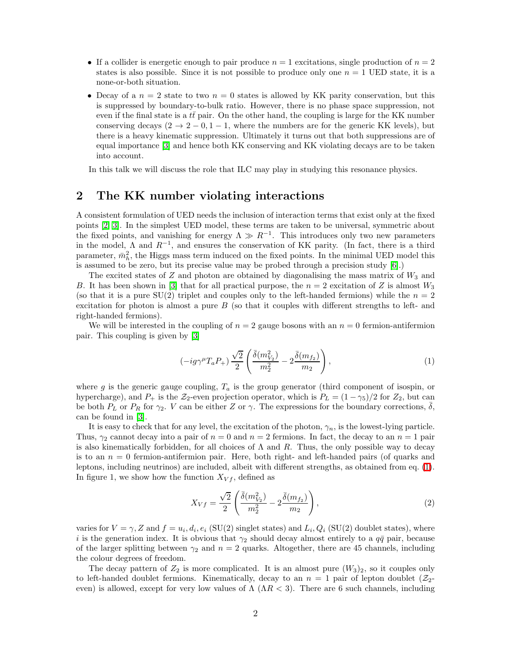- If a collider is energetic enough to pair produce  $n = 1$  excitations, single production of  $n = 2$ states is also possible. Since it is not possible to produce only one  $n = 1$  UED state, it is a none-or-both situation.
- Decay of a  $n = 2$  state to two  $n = 0$  states is allowed by KK parity conservation, but this is suppressed by boundary-to-bulk ratio. However, there is no phase space suppression, not even if the final state is a  $t\bar{t}$  pair. On the other hand, the coupling is large for the KK number conserving decays  $(2 \rightarrow 2 - 0, 1 - 1,$  where the numbers are for the generic KK levels), but there is a heavy kinematic suppression. Ultimately it turns out that both suppressions are of equal importance [\[3\]](#page-3-2) and hence both KK conserving and KK violating decays are to be taken into account.

In this talk we will discuss the role that ILC may play in studying this resonance physics.

# 2 The KK number violating interactions

A consistent formulation of UED needs the inclusion of interaction terms that exist only at the fixed points [\[2,](#page-3-1) [3\]](#page-3-2). In the simplest UED model, these terms are taken to be universal, symmetric about the fixed points, and vanishing for energy  $\Lambda \gg R^{-1}$ . This introduces only two new parameters in the model,  $\Lambda$  and  $R^{-1}$ , and ensures the conservation of KK parity. (In fact, there is a third parameter,  $\bar{m}_h^2$ , the Higgs mass term induced on the fixed points. In the minimal UED model this is assumed to be zero, but its precise value may be probed through a precision study [\[6\]](#page-4-1).)

The excited states of  $Z$  and photon are obtained by diagonalising the mass matrix of  $W_3$  and B. It has been shown in [\[3\]](#page-3-2) that for all practical purpose, the  $n = 2$  excitation of Z is almost  $W_3$ (so that it is a pure  $SU(2)$  triplet and couples only to the left-handed fermions) while the  $n = 2$ excitation for photon is almost a pure  $B$  (so that it couples with different strengths to left- and right-handed fermions).

<span id="page-1-0"></span>We will be interested in the coupling of  $n = 2$  gauge bosons with an  $n = 0$  fermion-antifermion pair. This coupling is given by [\[3\]](#page-3-2)

$$
\left(-ig\gamma^{\mu}T_{a}P_{+}\right)\frac{\sqrt{2}}{2}\left(\frac{\bar{\delta}(m_{V_2}^2)}{m_2^2} - 2\frac{\bar{\delta}(m_{f_2})}{m_2}\right),\tag{1}
$$

where g is the generic gauge coupling,  $T_a$  is the group generator (third component of isospin, or hypercharge), and  $P_+$  is the  $\mathcal{Z}_2$ -even projection operator, which is  $P_L = (1 - \gamma_5)/2$  for  $\mathcal{Z}_2$ , but can be both  $P_L$  or  $P_R$  for  $\gamma_2$ . V can be either Z or  $\gamma$ . The expressions for the boundary corrections,  $\overline{\delta}$ , can be found in [\[3\]](#page-3-2).

It is easy to check that for any level, the excitation of the photon,  $\gamma_n$ , is the lowest-lying particle. Thus,  $\gamma_2$  cannot decay into a pair of  $n = 0$  and  $n = 2$  fermions. In fact, the decay to an  $n = 1$  pair is also kinematically forbidden, for all choices of  $\Lambda$  and  $R$ . Thus, the only possible way to decay is to an  $n = 0$  fermion-antifermion pair. Here, both right- and left-handed pairs (of quarks and leptons, including neutrinos) are included, albeit with different strengths, as obtained from eq. [\(1\)](#page-1-0). In figure 1, we show how the function  $X_{Vf}$ , defined as

$$
X_{Vf} = \frac{\sqrt{2}}{2} \left( \frac{\bar{\delta}(m_{V_2}^2)}{m_2^2} - 2 \frac{\bar{\delta}(m_{f_2})}{m_2} \right),
$$
\n(2)

varies for  $V = \gamma$ , Z and  $f = u_i, d_i, e_i$  (SU(2) singlet states) and  $L_i, Q_i$  (SU(2) doublet states), where i is the generation index. It is obvious that  $\gamma_2$  should decay almost entirely to a  $q\bar{q}$  pair, because of the larger splitting between  $\gamma_2$  and  $n = 2$  quarks. Altogether, there are 45 channels, including the colour degrees of freedom.

The decay pattern of  $Z_2$  is more complicated. It is an almost pure  $(W_3)_2$ , so it couples only to left-handed doublet fermions. Kinematically, decay to an  $n = 1$  pair of lepton doublet  $(\mathcal{Z}_2$ even) is allowed, except for very low values of  $\Lambda$  ( $\Lambda R < 3$ ). There are 6 such channels, including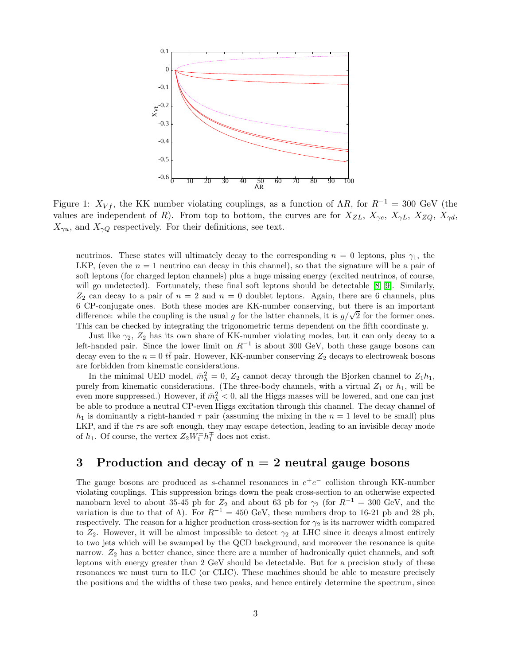

Figure 1:  $X_{Vf}$ , the KK number violating couplings, as a function of  $\Lambda R$ , for  $R^{-1} = 300$  GeV (the values are independent of R). From top to bottom, the curves are for  $X_{ZL}$ ,  $X_{\gamma e}$ ,  $X_{\gamma L}$ ,  $X_{ZQ}$ ,  $X_{\gamma d}$ ,  $X_{\gamma u}$ , and  $X_{\gamma Q}$  respectively. For their definitions, see text.

neutrinos. These states will ultimately decay to the corresponding  $n = 0$  leptons, plus  $\gamma_1$ , the LKP, (even the  $n = 1$  neutrino can decay in this channel), so that the signature will be a pair of soft leptons (for charged lepton channels) plus a huge missing energy (excited neutrinos, of course, will go undetected). Fortunately, these final soft leptons should be detectable [\[8,](#page-4-3) [9\]](#page-4-4). Similarly,  $Z_2$  can decay to a pair of  $n = 2$  and  $n = 0$  doublet leptons. Again, there are 6 channels, plus 6 CP-conjugate ones. Both these modes are KK-number conserving, but there is an important difference: while the coupling is the usual g for the latter channels, it is  $g/\sqrt{2}$  for the former ones. This can be checked by integrating the trigonometric terms dependent on the fifth coordinate y.

Just like  $\gamma_2$ ,  $Z_2$  has its own share of KK-number violating modes, but it can only decay to a left-handed pair. Since the lower limit on  $R^{-1}$  is about 300 GeV, both these gauge bosons can decay even to the  $n = 0$   $t\bar{t}$  pair. However, KK-number conserving  $Z_2$  decays to electroweak bosons are forbidden from kinematic considerations.

In the minimal UED model,  $\bar{m}_h^2 = 0$ ,  $Z_2$  cannot decay through the Bjorken channel to  $Z_1 h_1$ , purely from kinematic considerations. (The three-body channels, with a virtual  $Z_1$  or  $h_1$ , will be even more suppressed.) However, if  $\bar{m}_h^2 < 0$ , all the Higgs masses will be lowered, and one can just be able to produce a neutral CP-even Higgs excitation through this channel. The decay channel of  $h_1$  is dominantly a right-handed  $\tau$  pair (assuming the mixing in the  $n = 1$  level to be small) plus LKP, and if the  $\tau s$  are soft enough, they may escape detection, leading to an invisible decay mode of  $h_1$ . Of course, the vertex  $Z_2W_1^{\pm}h_1^{\mp}$  does not exist.

# 3 Production and decay of  $n = 2$  neutral gauge bosons

The gauge bosons are produced as s-channel resonances in  $e^+e^-$  collision through KK-number violating couplings. This suppression brings down the peak cross-section to an otherwise expected nanobarn level to about 35-45 pb for  $Z_2$  and about 63 pb for  $\gamma_2$  (for  $R^{-1} = 300$  GeV, and the variation is due to that of  $\Lambda$ ). For  $R^{-1} = 450$  GeV, these numbers drop to 16-21 pb and 28 pb, respectively. The reason for a higher production cross-section for  $\gamma_2$  is its narrower width compared to  $Z_2$ . However, it will be almost impossible to detect  $\gamma_2$  at LHC since it decays almost entirely to two jets which will be swamped by the QCD background, and moreover the resonance is quite narrow.  $Z_2$  has a better chance, since there are a number of hadronically quiet channels, and soft leptons with energy greater than 2 GeV should be detectable. But for a precision study of these resonances we must turn to ILC (or CLIC). These machines should be able to measure precisely the positions and the widths of these two peaks, and hence entirely determine the spectrum, since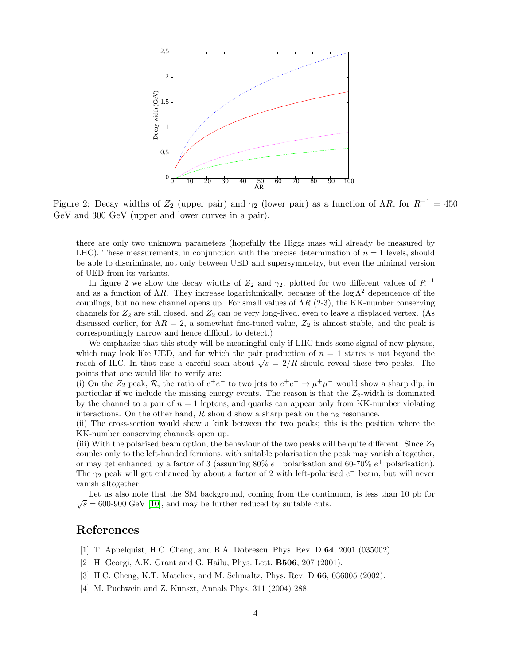

Figure 2: Decay widths of  $Z_2$  (upper pair) and  $\gamma_2$  (lower pair) as a function of  $\Lambda R$ , for  $R^{-1} = 450$ GeV and 300 GeV (upper and lower curves in a pair).

there are only two unknown parameters (hopefully the Higgs mass will already be measured by LHC). These measurements, in conjunction with the precise determination of  $n = 1$  levels, should be able to discriminate, not only between UED and supersymmetry, but even the minimal version of UED from its variants.

In figure 2 we show the decay widths of  $Z_2$  and  $\gamma_2$ , plotted for two different values of  $R^{-1}$ and as a function of  $\Lambda R$ . They increase logarithmically, because of the log  $\Lambda^2$  dependence of the couplings, but no new channel opens up. For small values of  $\Lambda R$  (2-3), the KK-number conserving channels for  $Z_2$  are still closed, and  $Z_2$  can be very long-lived, even to leave a displaced vertex. (As discussed earlier, for  $\Lambda R = 2$ , a somewhat fine-tuned value,  $Z_2$  is almost stable, and the peak is correspondingly narrow and hence difficult to detect.)

We emphasize that this study will be meaningful only if LHC finds some signal of new physics, which may look like UED, and for which the pair production of  $n = 1$  states is not beyond the reach of ILC. In that case a careful scan about  $\sqrt{s} = 2/R$  should reveal these two peaks. The points that one would like to verify are:

(i) On the  $Z_2$  peak,  $R$ , the ratio of  $e^+e^-$  to two jets to  $e^+e^- \to \mu^+\mu^-$  would show a sharp dip, in particular if we include the missing energy events. The reason is that the  $Z_2$ -width is dominated by the channel to a pair of  $n = 1$  leptons, and quarks can appear only from KK-number violating interactions. On the other hand, R should show a sharp peak on the  $\gamma_2$  resonance.

(ii) The cross-section would show a kink between the two peaks; this is the position where the KK-number conserving channels open up.

(iii) With the polarised beam option, the behaviour of the two peaks will be quite different. Since  $Z_2$ couples only to the left-handed fermions, with suitable polarisation the peak may vanish altogether, or may get enhanced by a factor of 3 (assuming  $80\% e^-$  polarisation and  $60\text{-}70\% e^+$  polarisation). The  $\gamma_2$  peak will get enhanced by about a factor of 2 with left-polarised  $e^-$  beam, but will never vanish altogether.

Let us also note that the SM background, coming from the continuum, is less than 10 pb for  $\sqrt{s} = 600\,900$  GeV [\[10\]](#page-4-5), and may be further reduced by suitable cuts.

# <span id="page-3-1"></span><span id="page-3-0"></span>References

- [1] T. Appelquist, H.C. Cheng, and B.A. Dobrescu, Phys. Rev. D 64, 2001 (035002).
- <span id="page-3-2"></span>[2] H. Georgi, A.K. Grant and G. Hailu, Phys. Lett. B506, 207 (2001).
- <span id="page-3-3"></span>[3] H.C. Cheng, K.T. Matchev, and M. Schmaltz, Phys. Rev. D 66, 036005 (2002).
- [4] M. Puchwein and Z. Kunszt, Annals Phys. 311 (2004) 288.